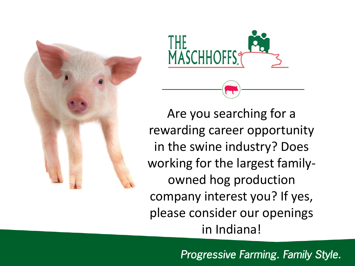



Are you searching for a rewarding career opportunity in the swine industry? Does working for the largest familyowned hog production company interest you? If yes, please consider our openings in Indiana!

Progressive Farming. Family Style.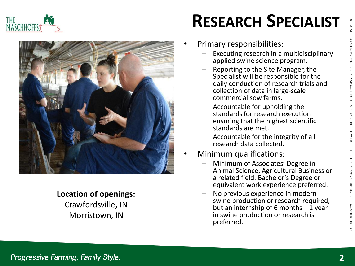





#### **Location of openings:**  Crawfordsville, IN Morristown, IN

## **RESEARCH SPECIALIST**

- Primary responsibilities:
	- Executing research in a multidisciplinary applied swine science program.
	- Reporting to the Site Manager, the Specialist will be responsible for the daily conduction of research trials and collection of data in large-scale commercial sow farms.
	- Accountable for upholding the standards for research execution ensuring that the highest scientific standards are met.
	- Accountable for the integrity of all research data collected.
- Minimum qualifications:
	- Minimum of Associates' Degree in Animal Science, Agricultural Business or a related field. Bachelor's Degree or equivalent work experience preferred.
	- No previous experience in modern swine production or research required, but an internship of 6 months  $-1$  year in swine production or research is preferred.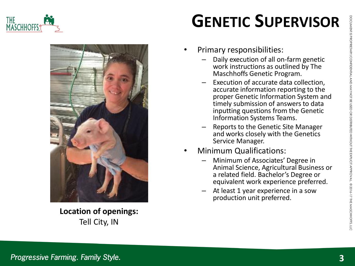



**Location of openings:**  Tell City, IN

### **GENETIC SUPERVISOR**

- Primary responsibilities:
	- Daily execution of all on-farm genetic work instructions as outlined by The Maschhoffs Genetic Program.
	- Execution of accurate data collection, accurate information reporting to the proper Genetic Information System and timely submission of answers to data inputting questions from the Genetic Information Systems Teams.
	- Reports to the Genetic Site Manager and works closely with the Genetics Service Manager.
- Minimum Qualifications:
	- Minimum of Associates' Degree in Animal Science, Agricultural Business or a related field. Bachelor's Degree or equivalent work experience preferred.
	- At least 1 year experience in a sow production unit preferred.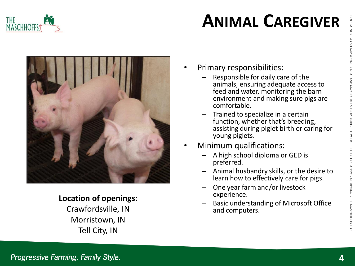

## **ANIMAL CAREGIVER**



#### **Location of openings:**

Crawfordsville, IN Morristown, IN Tell City, IN

- Primary responsibilities:
	- Responsible for daily care of the animals, ensuring adequate access to feed and water, monitoring the barn environment and making sure pigs are comfortable.
	- Trained to specialize in a certain function, whether that's breeding, assisting during piglet birth or caring for young piglets.
- Minimum qualifications:
	- A high school diploma or GED is preferred.
	- Animal husbandry skills, or the desire to learn how to effectively care for pigs.
	- One year farm and/or livestock experience.
	- Basic understanding of Microsoft Office and computers.